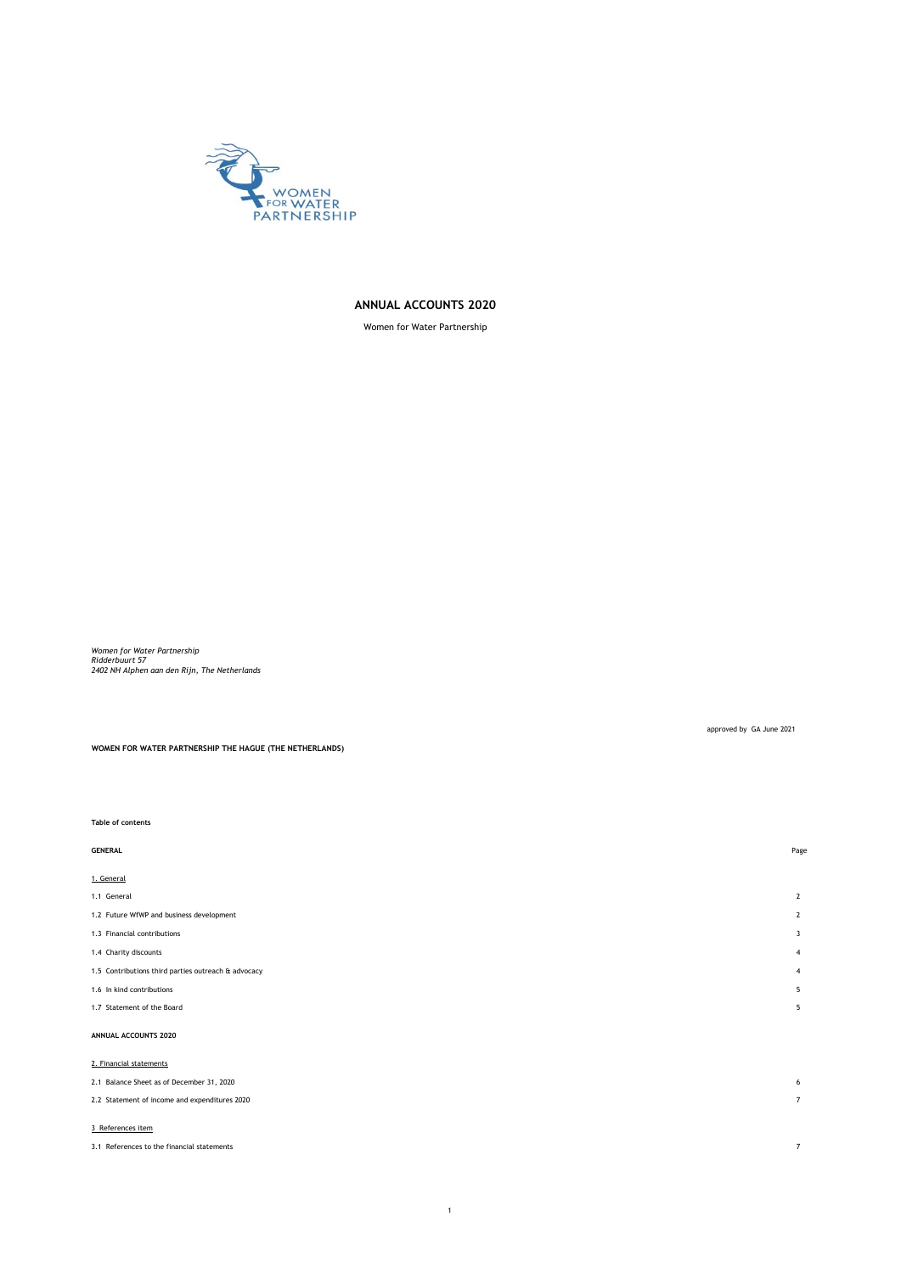

## **ANNUAL ACCOUNTS 2020**

Women for Water Partnership

*Women for Water Partnership Ridderbuurt 57 2402 NH Alphen aan den Rijn, The Netherlands*

approved by GA June 2021

**WOMEN FOR WATER PARTNERSHIP THE HAGUE (THE NETHERLANDS)**

### **Table of contents**

| <b>GENERAL</b>                                      | Page           |
|-----------------------------------------------------|----------------|
| 1. General                                          |                |
| 1.1 General                                         | $\overline{2}$ |
| 1.2 Future WfWP and business development            | $\overline{2}$ |
| 1.3 Financial contributions                         | 3              |
| 1.4 Charity discounts                               | 4              |
| 1.5 Contributions third parties outreach & advocacy | 4              |
| 1.6 In kind contributions                           | 5              |
| 1.7 Statement of the Board                          | 5              |
| ANNUAL ACCOUNTS 2020                                |                |
| 2. Financial statements                             |                |
| 2.1 Balance Sheet as of December 31, 2020           | 6              |
| 2.2 Statement of income and expenditures 2020       | $\overline{7}$ |
|                                                     |                |

### 3 References item

| 3.1 References to the financial statements |  |
|--------------------------------------------|--|
|                                            |  |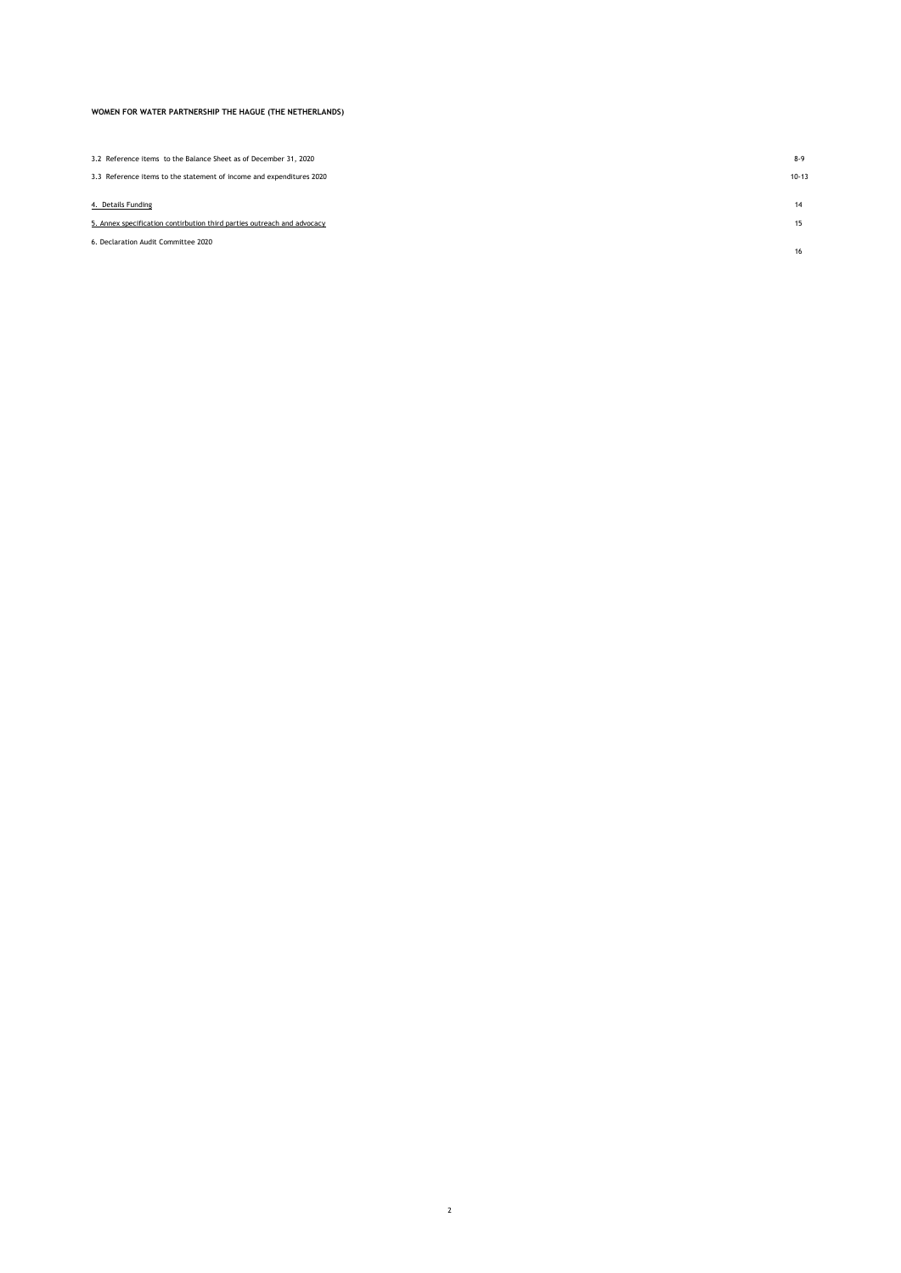| 3.2 Reference items to the Balance Sheet as of December 31, 2020        | $8-9$     |
|-------------------------------------------------------------------------|-----------|
| 3.3 Reference items to the statement of income and expenditures 2020    | $10 - 13$ |
| 4. Details Funding                                                      | 14        |
| 5. Annex specification contirbution third parties outreach and advocacy | 15        |
| 6. Declaration Audit Committee 2020                                     | 16        |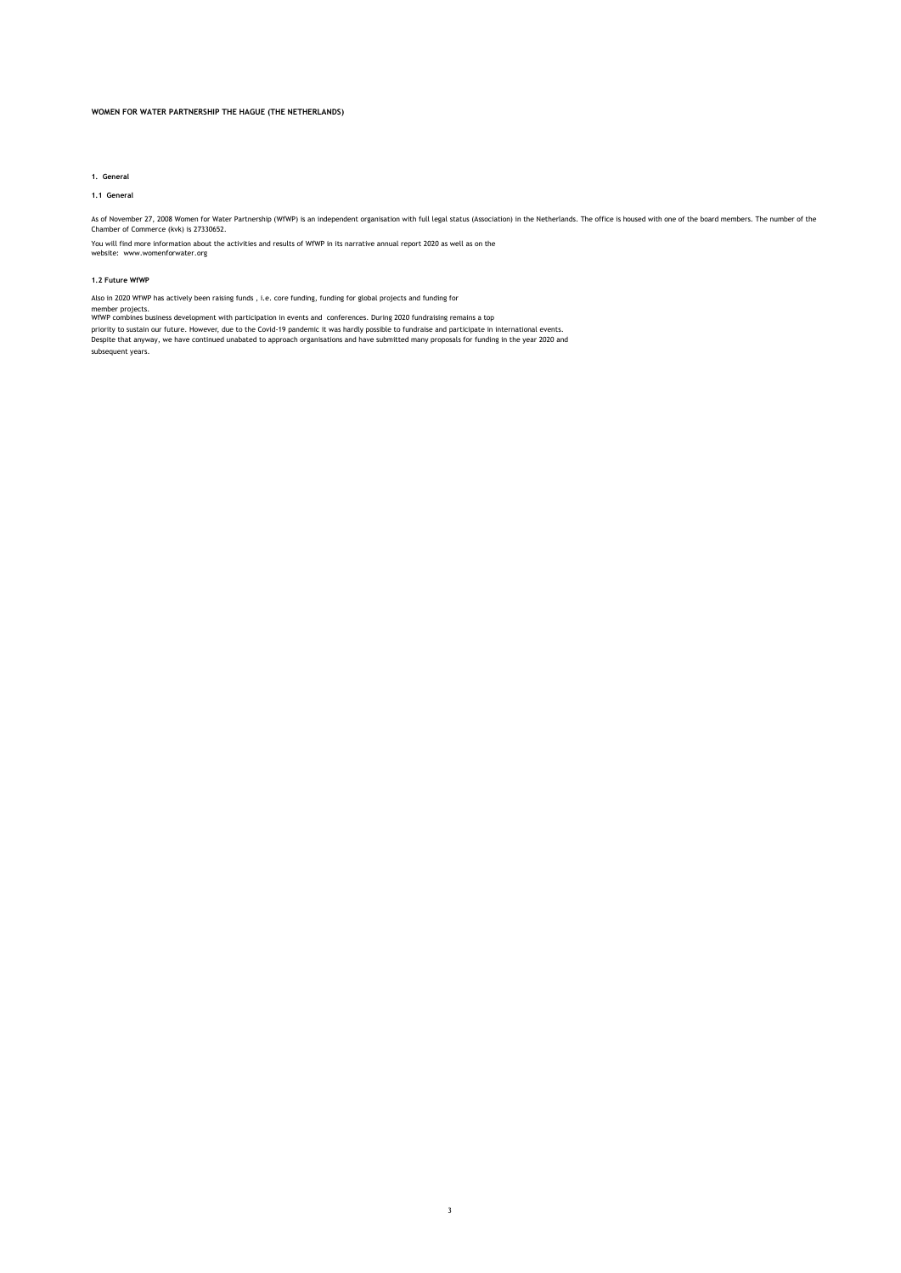### **1. General**

### **1.1 General**

As of November 27, 2008 Women for Water Partnership (WfWP) is an independent organisation with full legal status (Association) in the Netherlands. The office is housed with one of the board members. The number of the<br>Chamb

You will find more information about the activities and results of WfWP in its narrative annual report 2020 as well as on the [website: www.womenforwater.org](http://www.womenforwater.org/)

### **1.2 Future WfWP**

Also in 2020 WfWP has actively been raising funds , i.e. core funding, funding for global projects and funding for

member projects. WfWP combines business development with participation in events and conferences. During 2020 fundraising remains a top

priority to sustain our future. However, due to the Covid-19 pandemic it was hardly possible to fundraise and participate in international events.<br>Despite that anyway, we have continued unabated to approach organisations a subsequent years.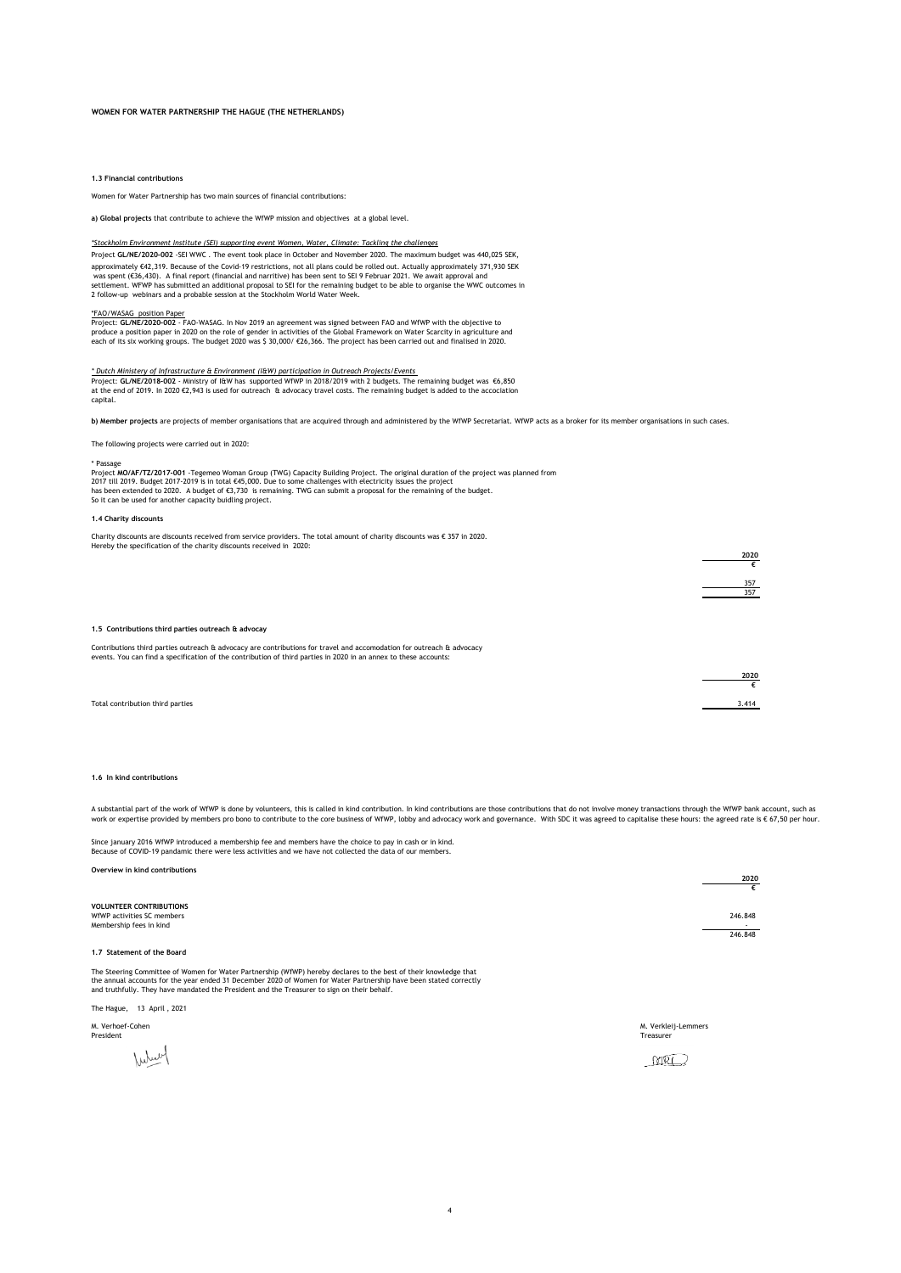**1.3 Financial contribution** 

Women for Water Partnership has two main sources of financial contributions:

**a) Global projects** that contribute to achieve the WfWP mission and objectives at a global level.

### *\*Stockholm Environment Institute (SEI) supporting event Women, Water, Climate: Tackling the challenges*

Project **GL/NE/2020-002** -SEI WWC . The event took place in October and November 2020. The maximum budget was 440,025 SEK, approximately €42,319. Because of the Covid-19 restrictions, not all plans could be rolled out. Actually approximately 371,930 SEK was spent (€36,430). A final report (financial and narritive) has been sent to SEI 9 Februar 2021. We await approval and<br>settlement. WFWP has submitted an additional proposal to SEI for the remaining budget to be able to o 2 follow-up webinars and a probable session at the Stockholm World Water Week.

\*<u>FAO/WASAG\_position Paper</u><br>Project: G**L/NE/2020-002 -** FAO-WASAG. In Nov 2019 an agreement was signed between FAO and WfWP with the objective to<br>produce a position paper in 2020 on the role of gender in activities of the

#### *\* Dutch Ministery of Infrastructure & Environment (I&W) participation in Outreach Projects/Events*

Project: **GL/NE/2018-002** - Ministry of I&W has supported WfWP in 2018/2019 with 2 budgets. The remaining budget was €6,850<br>at the end of 2019. In 2020 €2,943 is used for outreach & advocacy travel costs. The remaining bu capital.

**b) Member projects** are projects of member organisations that are acquired through and administered by the WfWP Secretariat. WfWP acts as a broker for its member organisations in such cases.

The following projects were carried out in 2020:

\* Passage<br>Project **MO/AF/TZ/2017-001** -Tegemeo Woman Group (TWG) Capacity Building Project. The original duration of the project was planned from<br>2017 till 2019. Budget 2017-2019 is in total €45,000. Due to some challenges

#### **1.4 Charity discounts**

Charity discounts are discounts received from service providers. The total amount of charity discounts was € 357 in 2020. Hereby the specification of the charity discounts received in 2020:

| 1.5 Contributions third parties outreach & advocay |  |  |  |
|----------------------------------------------------|--|--|--|
|                                                    |  |  |  |

Contributions third parties outreach & advocacy are contributions for travel and accomodation for outreach & advocacy<br>events. You can find a specification of the contribution of third parties in 2020 in an annex to these a

|                                  | 202   |
|----------------------------------|-------|
|                                  |       |
| Total contribution third parties | 3.414 |

#### **1.6 In kind contributions**

A substantial part of the work of WfWP is done by volunteers, this is called in kind contribution. In kind contributions are those contributions that do not involve money transactions through the WfWP bank account, such as

**2020 €**

Since january 2016 WfWP introduced a membership fee and members have the choice to pay in cash or in kind. Because of COVID-19 pandamic there were less activities and we have not collected the data of our members.

### **Overview in kind contributions**

|                                                                                                                                                                                                                                                                                                                                      | 2020<br>€          |
|--------------------------------------------------------------------------------------------------------------------------------------------------------------------------------------------------------------------------------------------------------------------------------------------------------------------------------------|--------------------|
| <b>VOLUNTEER CONTRIBUTIONS</b><br>WfWP activities SC members<br>Membership fees in kind                                                                                                                                                                                                                                              | 246.848<br>246.848 |
| 1.7 Statement of the Board                                                                                                                                                                                                                                                                                                           |                    |
| The Steering Committee of Women for Water Partnership (WfWP) hereby declares to the best of their knowledge that<br>the annual accounts for the year ended 31 December 2020 of Women for Water Partnership have been stated correctly<br>and truthfully. They have mandated the President and the Treasurer to sign on their behalf. |                    |
| 13 April, 2021<br>The Hague,                                                                                                                                                                                                                                                                                                         |                    |
| M. Verhoef-Cohen<br>M. Verkleij-Lemmers<br>President<br>Treasurer                                                                                                                                                                                                                                                                    |                    |
|                                                                                                                                                                                                                                                                                                                                      |                    |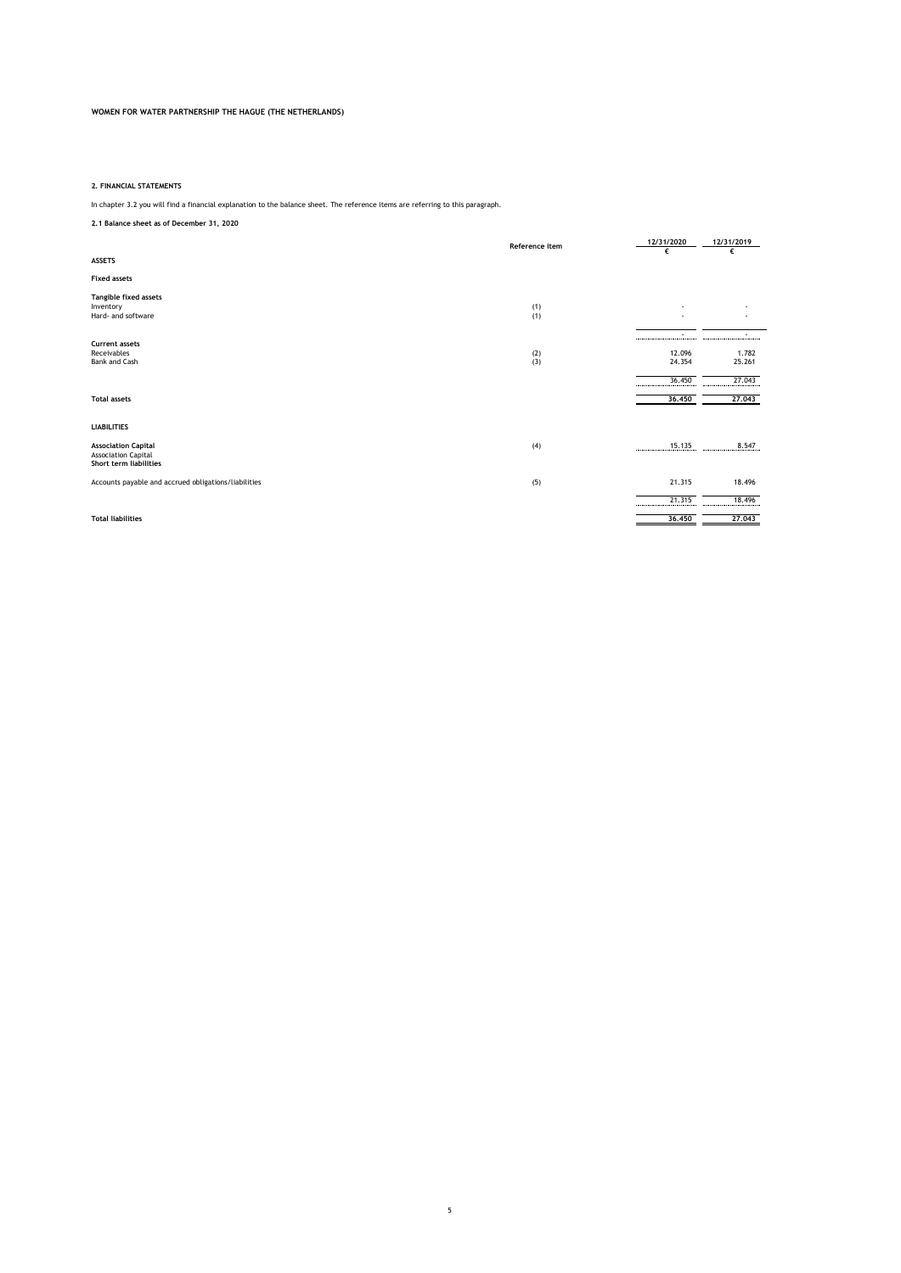### **2. FINANCIAL STATEMENTS**

In chapter 3.2 you will find a financial explanation to the balance sheet. The reference items are referring to this paragraph.

# **2.1 Balance sheet as of December 31, 2020**

|                                                                                    | Reference item | 12/31/2020                                       | 12/31/2019                                |
|------------------------------------------------------------------------------------|----------------|--------------------------------------------------|-------------------------------------------|
| <b>ASSETS</b>                                                                      |                | €                                                | €                                         |
| <b>Fixed assets</b>                                                                |                |                                                  |                                           |
| Tangible fixed assets<br>Inventory<br>Hard- and software                           | (1)<br>(1)     |                                                  |                                           |
| <b>Current assets</b><br>Receivables<br>Bank and Cash                              | (2)<br>(3)     | ----------------------------<br>12.096<br>24.354 | ----------------------<br>1.782<br>25.261 |
| <b>Total assets</b>                                                                |                | 36.450<br>36,450                                 | 27.043<br>27,043                          |
| <b>LIABILITIES</b>                                                                 |                |                                                  |                                           |
| <b>Association Capital</b><br><b>Association Capital</b><br>Short term liabilities | (4)            | 15.135<br>------                                 | 8.547                                     |
| Accounts payable and accrued obligations/liabilities                               | (5)            | 21.315                                           | 18.496                                    |
|                                                                                    |                | 21.315                                           | 18.496                                    |
| <b>Total liabilities</b>                                                           |                | 36,450                                           | 27.043                                    |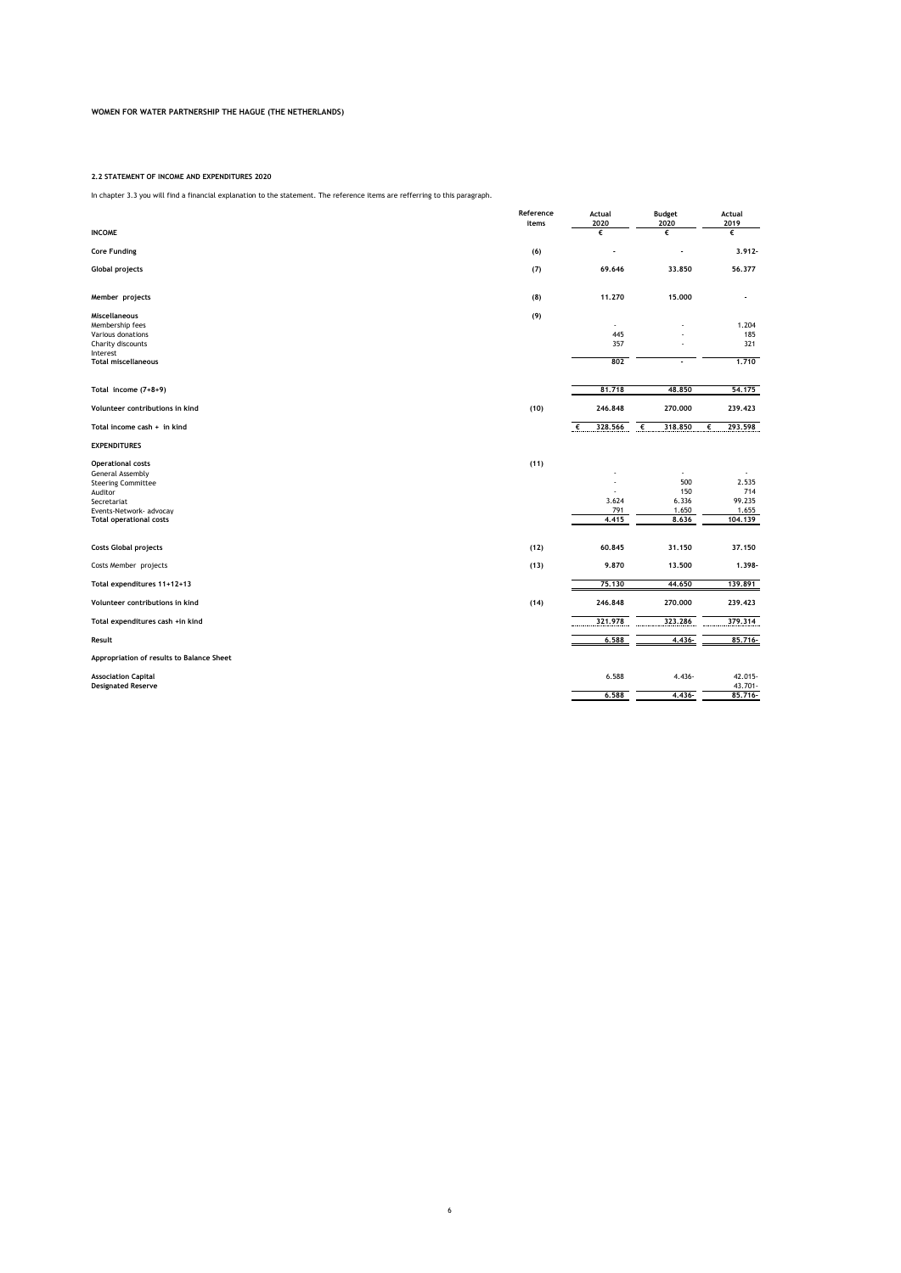### **2.2 STATEMENT OF INCOME AND EXPENDITURES 2020**

In chapter 3.3 you will find a financial explanation to the statement. The reference items are refferring to this paragraph.

|                                                                                                                                                                  | Reference<br>items | Actual<br>2020        | <b>Budget</b><br>2020                      | Actual<br>2019                             |
|------------------------------------------------------------------------------------------------------------------------------------------------------------------|--------------------|-----------------------|--------------------------------------------|--------------------------------------------|
| <b>INCOME</b>                                                                                                                                                    |                    | €                     | €                                          | €                                          |
| <b>Core Funding</b>                                                                                                                                              | (6)                |                       |                                            | $3.912 -$                                  |
| <b>Global projects</b>                                                                                                                                           | (7)                | 69.646                | 33,850                                     | 56,377                                     |
| Member projects                                                                                                                                                  | (8)                | 11.270                | 15,000                                     | $\overline{\phantom{a}}$                   |
| <b>Miscellaneous</b><br>Membership fees<br>Various donations<br>Charity discounts<br>Interest<br><b>Total miscellaneous</b>                                      | (9)                | 445<br>357<br>802     |                                            | 1.204<br>185<br>321<br>1,710               |
| Total income (7+8+9)                                                                                                                                             |                    | 81,718                | 48,850                                     | 54,175                                     |
| Volunteer contributions in kind                                                                                                                                  | (10)               | 246,848               | 270,000                                    | 239,423                                    |
| Total income cash + in kind                                                                                                                                      |                    | $\epsilon$<br>328,566 | €<br>318,850                               | 293.598<br>€                               |
| <b>EXPENDITURES</b>                                                                                                                                              |                    |                       |                                            |                                            |
| <b>Operational costs</b><br>General Assembly<br><b>Steering Committee</b><br>Auditor<br>Secretariat<br>Events-Network- advocay<br><b>Total operational costs</b> | (11)               | 3.624<br>791<br>4.415 | ٠<br>500<br>150<br>6.336<br>1.650<br>8,636 | 2.535<br>714<br>99.235<br>1.655<br>104,139 |
| <b>Costs Global projects</b>                                                                                                                                     | (12)               | 60.845                | 31,150                                     | 37.150                                     |
| Costs Member projects                                                                                                                                            | (13)               | 9.870                 | 13,500                                     | 1.398-                                     |
| Total expenditures 11+12+13                                                                                                                                      |                    | 75.130                | 44.650                                     | 139,891                                    |
| Volunteer contributions in kind                                                                                                                                  | (14)               | 246,848               | 270,000                                    | 239,423                                    |
| Total expenditures cash +in kind                                                                                                                                 |                    | 321,978               | 323.286                                    | 379.314                                    |
| Result                                                                                                                                                           |                    | 6.588                 | 4.436-                                     | 85,716-                                    |
| Appropriation of results to Balance Sheet                                                                                                                        |                    |                       |                                            |                                            |
| <b>Association Capital</b><br><b>Designated Reserve</b>                                                                                                          |                    | 6.588                 | 4.436-                                     | 42.015-<br>43.701-                         |
|                                                                                                                                                                  |                    | 6.588                 | 4,436-                                     | $85,716-$                                  |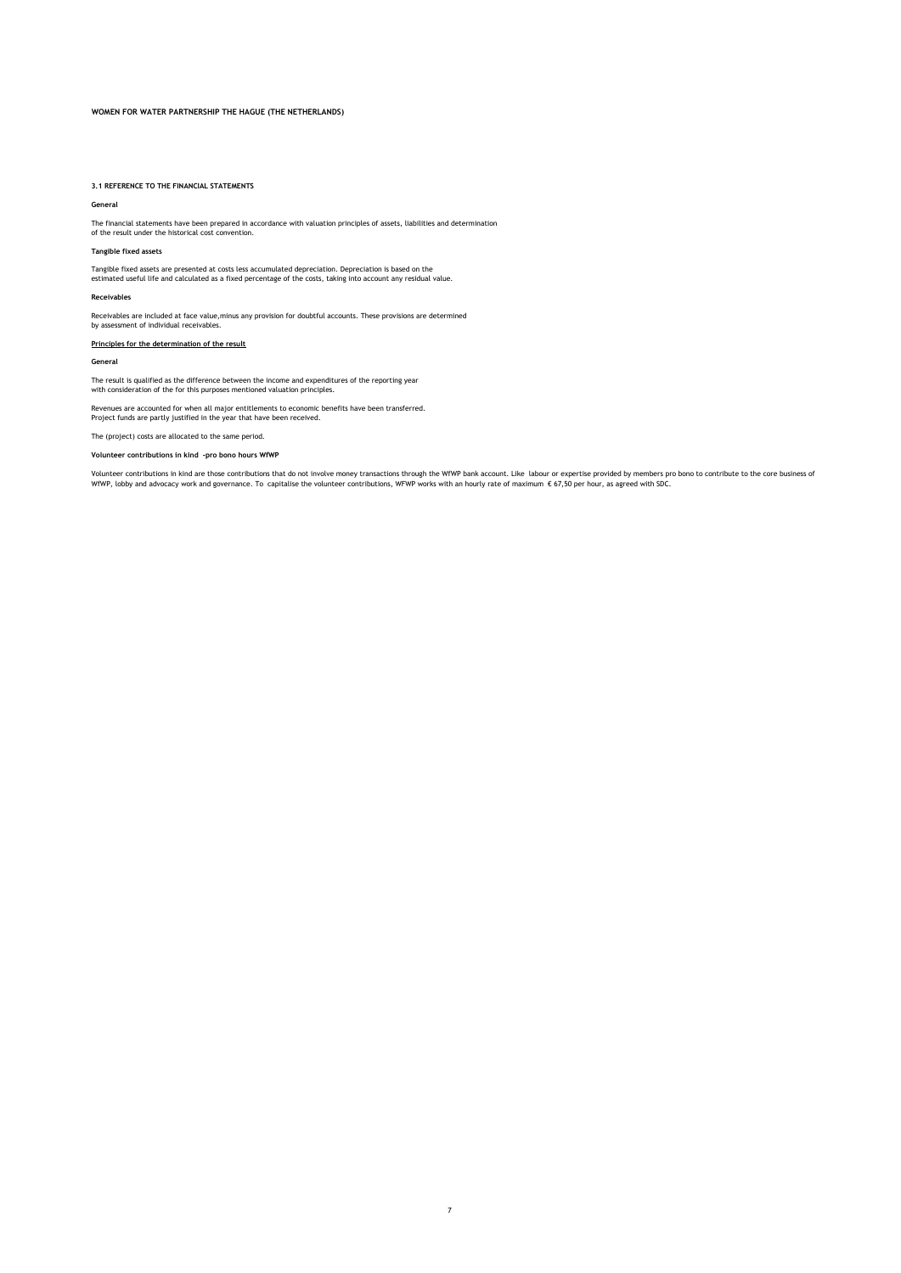### **3.1 REFERENCE TO THE FINANCIAL STATEMENTS**

#### **General**

The financial statements have been prepared in accordance with valuation principles of assets, liabilities and determination of the result under the historical cost convention.

## **Tangible fixed assets**

Tangible fixed assets are presented at costs less accumulated depreciation. Depreciation is based on the estimated useful life and calculated as a fixed percentage of the costs, taking into account any residual value.

### **Receivables**

Receivables are included at face value,minus any provision for doubtful accounts. These provisions are determined by assessment of individual receivables.

## **Principles for the determination of the result**

### **General**

The result is qualified as the difference between the income and expenditures of the reporting year with consideration of the for this purposes mentioned valuation principles.

Revenues are accounted for when all major entitlements to economic benefits have been transferred. Project funds are partly justified in the year that have been received.

The (project) costs are allocated to the same period.

### **Volunteer contributions in kind -pro bono hours WfWP**

Volunteer contributions in kind are those contributions that do not involve money transactions through the WfWP bank account. Like labour or expertise provided by members pro bono to contribute to the core business of<br>WfWP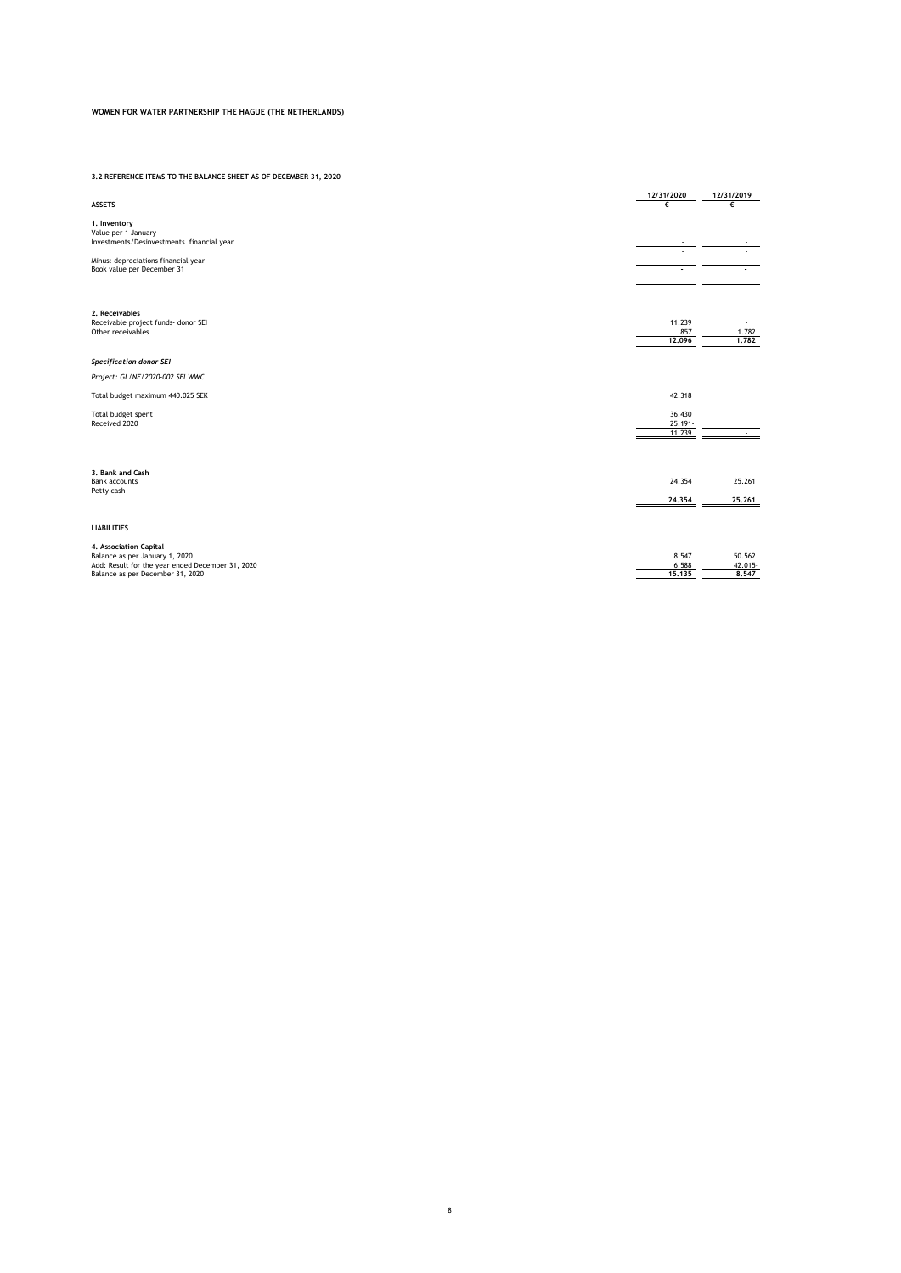### **3.2 REFERENCE ITEMS TO THE BALANCE SHEET AS OF DECEMBER 31, 2020**

|                                                                   | 12/31/2020           | 12/31/2019       |
|-------------------------------------------------------------------|----------------------|------------------|
| <b>ASSETS</b>                                                     | €                    | €                |
| 1. Inventory                                                      |                      |                  |
| Value per 1 January                                               |                      |                  |
| Investments/Desinvestments financial year                         |                      |                  |
|                                                                   |                      |                  |
| Minus: depreciations financial year<br>Book value per December 31 |                      |                  |
|                                                                   |                      |                  |
|                                                                   |                      |                  |
|                                                                   |                      |                  |
| 2. Receivables                                                    |                      |                  |
| Receivable project funds- donor SEI                               | 11.239               |                  |
| Other receivables                                                 | 857                  | 1.782            |
|                                                                   | 12,096               | 1,782            |
| <b>Specification donor SEI</b>                                    |                      |                  |
| Project: GL/NE/2020-002 SEI WWC                                   |                      |                  |
| Total budget maximum 440.025 SEK                                  | 42.318               |                  |
|                                                                   |                      |                  |
| Total budget spent<br>Received 2020                               | 36.430<br>$25.191 -$ |                  |
|                                                                   | 11.239               |                  |
|                                                                   |                      |                  |
|                                                                   |                      |                  |
|                                                                   |                      |                  |
| 3. Bank and Cash<br><b>Bank accounts</b>                          | 24.354               | 25.261           |
| Petty cash                                                        |                      |                  |
|                                                                   | 24,354               | 25,261           |
|                                                                   |                      |                  |
| <b>LIABILITIES</b>                                                |                      |                  |
|                                                                   |                      |                  |
| 4. Association Capital                                            |                      |                  |
| Balance as per January 1, 2020                                    | 8.547                | 50.562           |
| Add: Result for the year ended December 31, 2020                  | 6.588<br>15,135      | 42.015-<br>8.547 |
| Balance as per December 31, 2020                                  |                      |                  |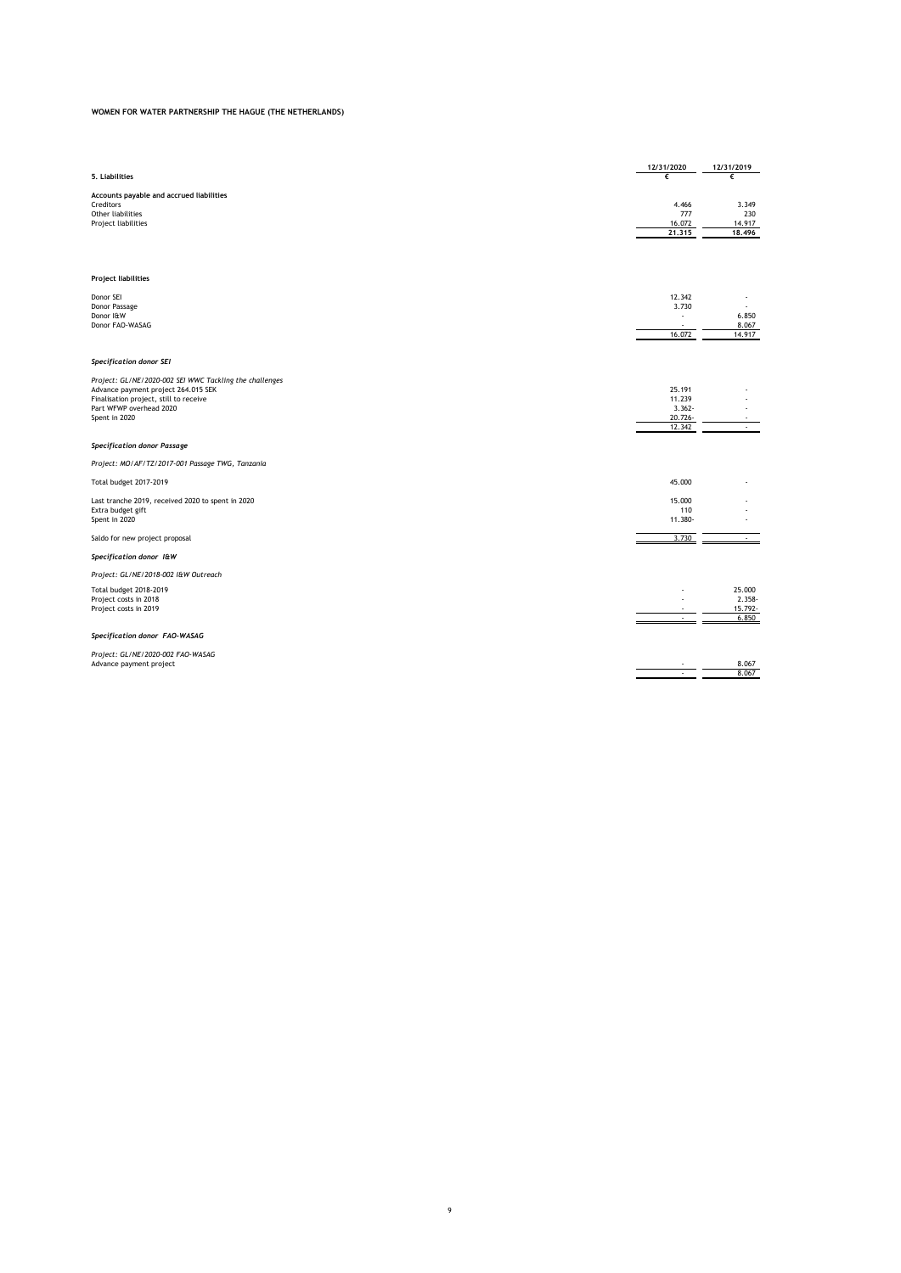| 5. Liabilities                                                                                                                                                                       | 12/31/2020<br>€                                    | 12/31/2019<br>€                      |
|--------------------------------------------------------------------------------------------------------------------------------------------------------------------------------------|----------------------------------------------------|--------------------------------------|
| Accounts payable and accrued liabilities<br>Creditors<br>Other liabilities<br>Project liabilities                                                                                    | 4.466<br>777<br>16.072<br>21,315                   | 3.349<br>230<br>14.917<br>18,496     |
| <b>Project liabilities</b>                                                                                                                                                           |                                                    |                                      |
| Donor SEI<br>Donor Passage<br>Donor I&W<br>Donor FAO-WASAG                                                                                                                           | 12.342<br>3.730<br>16.072                          | 6.850<br>8.067<br>14.917             |
| Specification donor SEI                                                                                                                                                              |                                                    |                                      |
| Project: GL/NE/2020-002 SEI WWC Tackling the challenges<br>Advance payment project 264.015 SEK<br>Finalisation project, still to receive<br>Part WFWP overhead 2020<br>Spent in 2020 | 25.191<br>11.239<br>$3.362 -$<br>20.726-<br>12.342 | $\overline{\phantom{a}}$             |
| <b>Specification donor Passage</b>                                                                                                                                                   |                                                    |                                      |
| Project: MO/AF/TZ/2017-001 Passage TWG, Tanzania                                                                                                                                     |                                                    |                                      |
| <b>Total budget 2017-2019</b>                                                                                                                                                        | 45.000                                             |                                      |
| Last tranche 2019, received 2020 to spent in 2020<br>Extra budget gift<br>Spent in 2020                                                                                              | 15.000<br>110<br>11.380-                           |                                      |
| Saldo for new project proposal                                                                                                                                                       | 3.730                                              |                                      |
| Specification donor I&W                                                                                                                                                              |                                                    |                                      |
| Project: GL/NE/2018-002 I&W Outreach                                                                                                                                                 |                                                    |                                      |
| <b>Total budget 2018-2019</b><br>Project costs in 2018<br>Project costs in 2019                                                                                                      | ٠                                                  | 25,000<br>2.358-<br>15.792-<br>6.850 |
| Specification donor FAO-WASAG                                                                                                                                                        |                                                    |                                      |
| Project: GL/NE/2020-002 FAO-WASAG<br>Advance payment project                                                                                                                         | $\mathcal{L}$                                      | 8.067<br>8.067                       |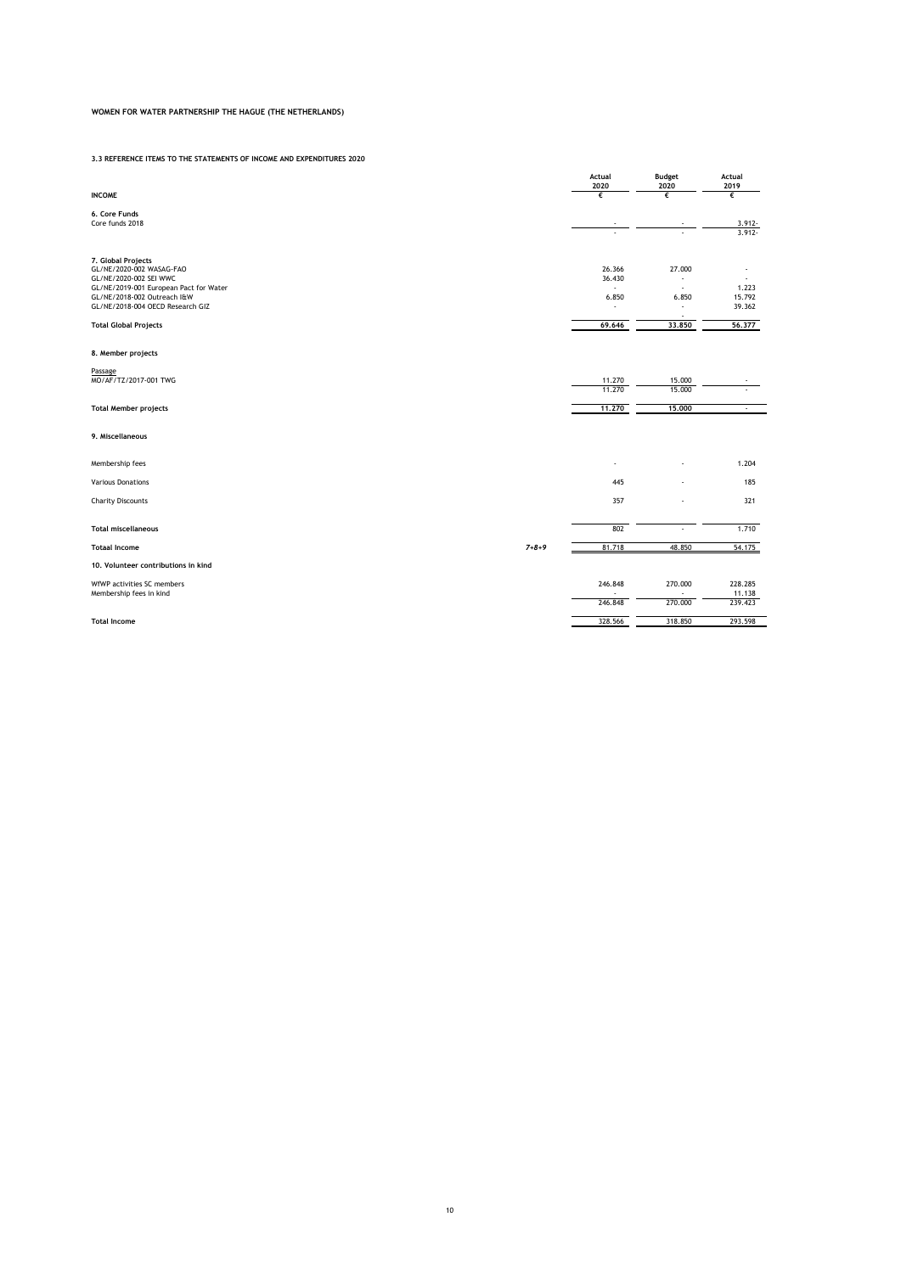**3.3 REFERENCE ITEMS TO THE STATEMENTS OF INCOME AND EXPENDITURES 2020**

|                                                                  |             | Actual<br>2020                     | Budget<br>2020                             | Actual<br>2019         |
|------------------------------------------------------------------|-------------|------------------------------------|--------------------------------------------|------------------------|
| <b>INCOME</b>                                                    |             | €                                  | €                                          | €                      |
| 6. Core Funds                                                    |             |                                    |                                            |                        |
| Core funds 2018                                                  |             |                                    |                                            | $3.912 -$<br>$3.912 -$ |
|                                                                  |             |                                    |                                            |                        |
| 7. Global Projects                                               |             |                                    |                                            |                        |
| GL/NE/2020-002 WASAG-FAO                                         |             | 26.366                             | 27.000                                     |                        |
| GL/NE/2020-002 SEI WWC<br>GL/NE/2019-001 European Pact for Water |             | 36.430<br>$\overline{\phantom{a}}$ | $\overline{a}$<br>$\overline{\phantom{a}}$ | 1.223                  |
| GL/NE/2018-002 Outreach I&W                                      |             | 6.850                              | 6.850                                      | 15.792                 |
| GL/NE/2018-004 OECD Research GIZ                                 |             | $\overline{a}$                     | ÷<br>٠                                     | 39.362                 |
| <b>Total Global Projects</b>                                     |             | 69.646                             | 33,850                                     | 56,377                 |
| 8. Member projects                                               |             |                                    |                                            |                        |
| Passage                                                          |             |                                    |                                            |                        |
| MO/AF/TZ/2017-001 TWG                                            |             | 11.270                             | 15.000                                     |                        |
|                                                                  |             | 11,270                             | 15.000                                     |                        |
| <b>Total Member projects</b>                                     |             | 11.270                             | 15,000                                     | $\cdot$                |
| 9. Miscellaneous                                                 |             |                                    |                                            |                        |
| Membership fees                                                  |             |                                    |                                            | 1.204                  |
| <b>Various Donations</b>                                         |             | 445                                |                                            | 185                    |
| <b>Charity Discounts</b>                                         |             | 357                                |                                            | 321                    |
| <b>Total miscellaneous</b>                                       |             | 802                                |                                            | 1.710                  |
| <b>Totaal Income</b>                                             | $7 + 8 + 9$ | 81.718                             | 48.850                                     | 54.175                 |
| 10. Volunteer contributions in kind                              |             |                                    |                                            |                        |
| WfWP activities SC members                                       |             | 246.848                            | 270.000                                    | 228.285                |
| Membership fees in kind                                          |             | 246.848                            | 270.000                                    | 11.138<br>239.423      |
|                                                                  |             |                                    |                                            |                        |
| <b>Total Income</b>                                              |             | 328.566                            | 318.850                                    | 293.598                |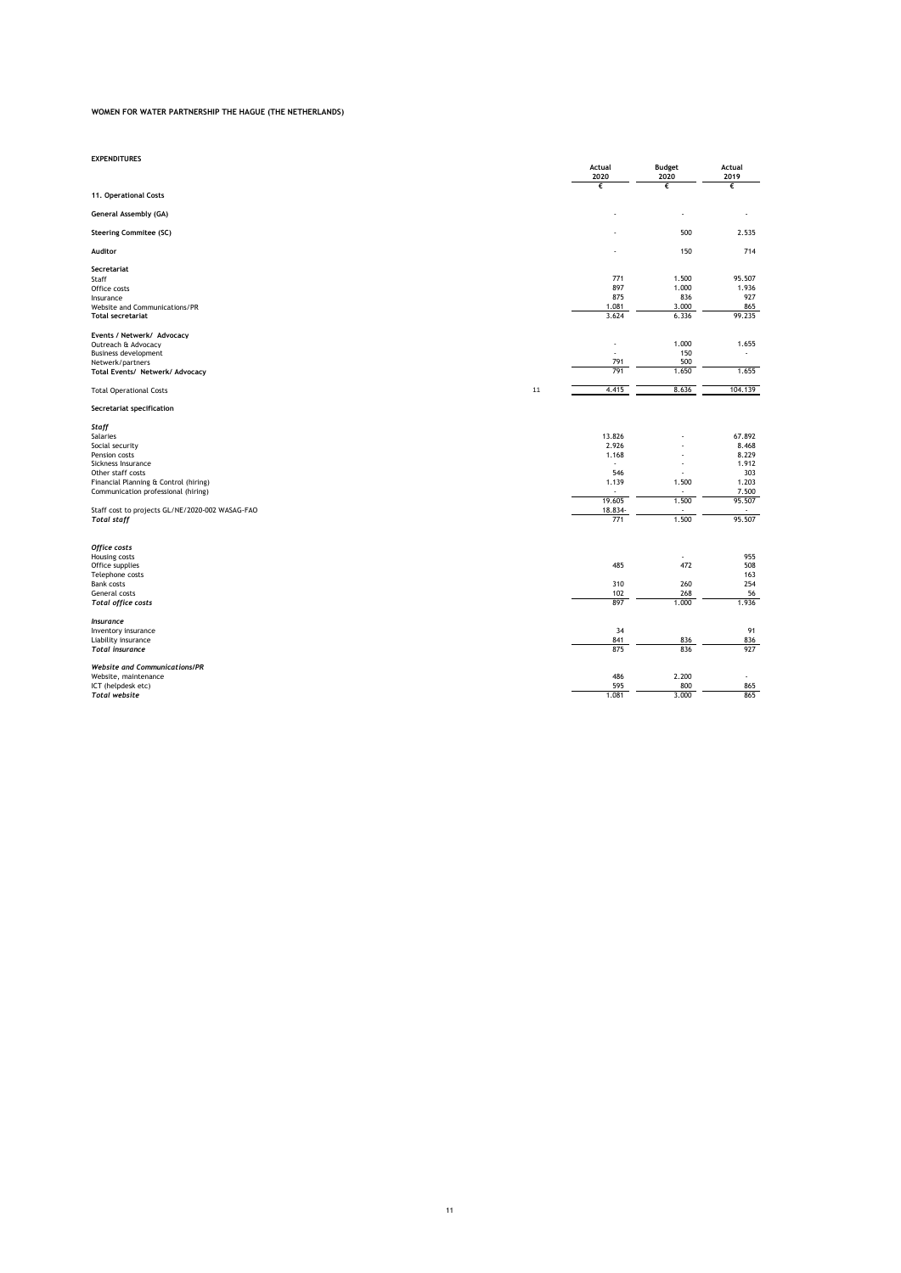| <b>EXPENDITURES</b>                                                   |                |                                   |                |
|-----------------------------------------------------------------------|----------------|-----------------------------------|----------------|
|                                                                       | Actual<br>2020 | <b>Budget</b><br>2020             | Actual<br>2019 |
|                                                                       | €              | €                                 | €              |
| 11. Operational Costs                                                 |                |                                   |                |
| General Assembly (GA)                                                 |                |                                   |                |
| <b>Steering Commitee (SC)</b>                                         |                | 500                               | 2.535          |
| Auditor                                                               |                | 150                               | 714            |
| Secretariat                                                           |                |                                   |                |
| Staff                                                                 | 771<br>897     | 1.500                             | 95.507         |
| Office costs<br>Insurance                                             | 875            | 1.000<br>836                      | 1.936<br>927   |
| Website and Communications/PR                                         | 1.081          | 3.000                             | 865            |
| <b>Total secretariat</b>                                              | 3.624          | 6.336                             | 99.235         |
| Events / Netwerk/ Advocacy                                            |                |                                   |                |
| Outreach & Advocacy                                                   |                | 1.000                             | 1.655          |
| <b>Business development</b>                                           |                | 150                               | ÷,             |
| Netwerk/partners                                                      | 791<br>791     | 500<br>1.650                      | 1.655          |
| Total Events/ Netwerk/ Advocacy                                       |                |                                   |                |
| 11<br><b>Total Operational Costs</b>                                  | 4.415          | 8.636                             | 104.139        |
| Secretariat specification                                             |                |                                   |                |
| Staff                                                                 |                |                                   |                |
| Salaries                                                              | 13.826         |                                   | 67.892         |
| Social security<br>Pension costs                                      | 2.926<br>1.168 |                                   | 8.468<br>8.229 |
| Sickness Insurance                                                    | ٠              |                                   | 1.912          |
| Other staff costs                                                     | 546            |                                   | 303            |
| Financial Planning & Control (hiring)                                 | 1.139          | 1.500                             | 1.203          |
| Communication professional (hiring)                                   |                |                                   | 7.500          |
|                                                                       | 19.605         | 1.500                             | 95.507         |
| Staff cost to projects GL/NE/2020-002 WASAG-FAO<br><b>Total staff</b> | 18.834-<br>771 | $\overline{\phantom{a}}$<br>1.500 | 95.507         |
|                                                                       |                |                                   |                |
| Office costs                                                          |                |                                   |                |
| Housing costs                                                         |                | ÷                                 | 955            |
| Office supplies<br>Telephone costs                                    | 485            | 472                               | 508<br>163     |
| <b>Bank costs</b>                                                     | 310            | 260                               | 254            |
| General costs                                                         | 102            | 268                               | 56             |
| <b>Total office costs</b>                                             | 897            | 1.000                             | 1.936          |
| <b>Insurance</b>                                                      |                |                                   |                |
| Inventory insurance                                                   | 34             |                                   | 91             |
| Liability insurance<br><b>Total</b> insurance                         | 841<br>875     | 836<br>836                        | 836<br>927     |
|                                                                       |                |                                   |                |
| <b>Website and Communications/PR</b>                                  |                |                                   |                |
| Website, maintenance                                                  | 486            | 2.200                             |                |
| ICT (helpdesk etc)<br><b>Total website</b>                            | 595<br>1.081   | 800<br>3.000                      | 865<br>865     |
|                                                                       |                |                                   |                |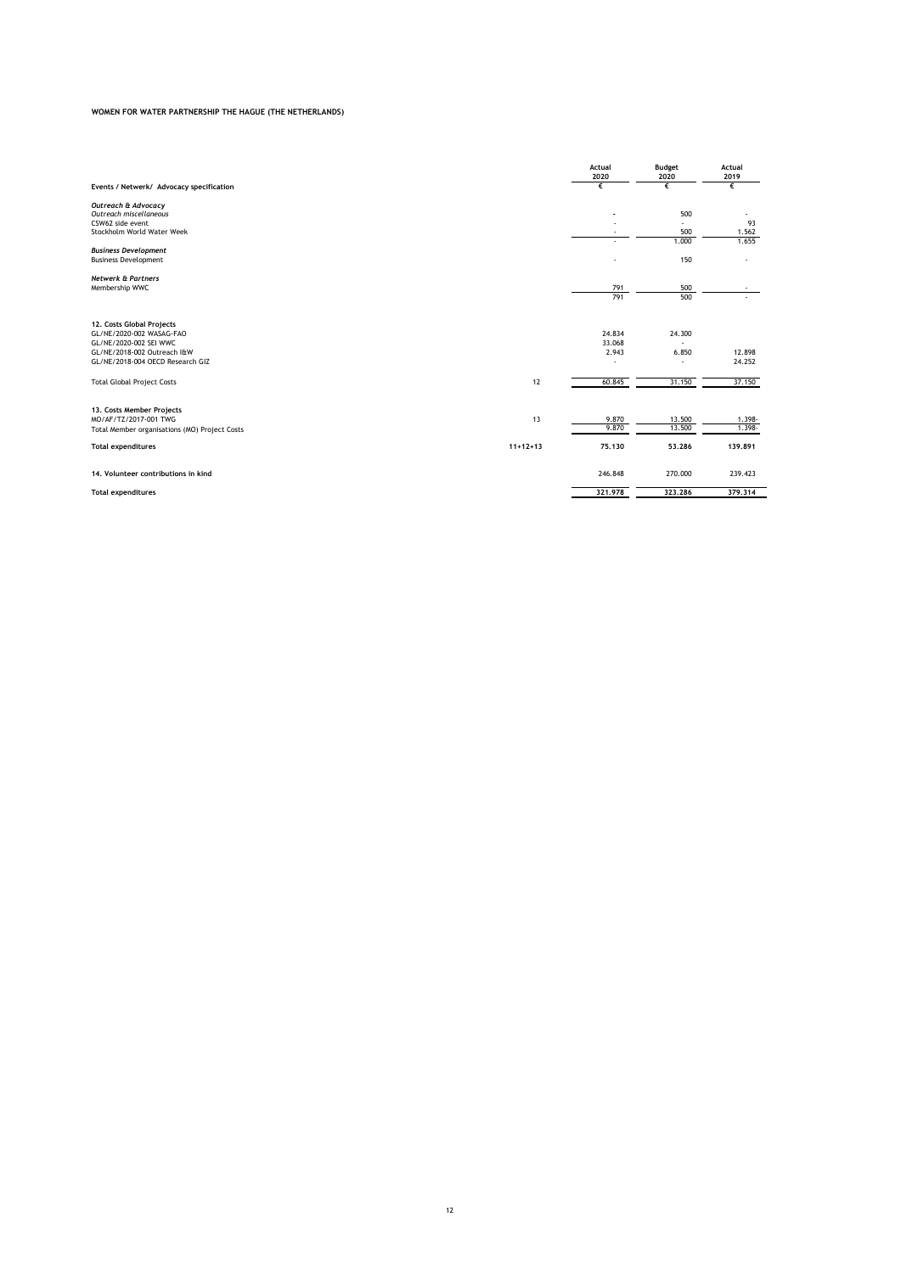| Events / Netwerk/ Advocacy specification                                                                                                           |                  | Actual<br>2020<br>€       | <b>Budget</b><br>2020<br>€ | <b>Actual</b><br>2019<br>€  |
|----------------------------------------------------------------------------------------------------------------------------------------------------|------------------|---------------------------|----------------------------|-----------------------------|
| Outreach & Advocacy<br>Outreach miscellaneous<br>CSW62 side event<br>Stockholm World Water Week                                                    |                  |                           | 500<br>÷.<br>500           | 93<br>1.562                 |
| <b>Business Development</b><br><b>Business Development</b>                                                                                         |                  |                           | 1.000<br>150               | 1.655                       |
| <b>Netwerk &amp; Partners</b><br>Membership WWC                                                                                                    |                  | 791<br>791                | 500<br>500                 |                             |
| 12. Costs Global Projects<br>GL/NE/2020-002 WASAG-FAO<br>GL/NE/2020-002 SEI WWC<br>GL/NE/2018-002 Outreach I&W<br>GL/NE/2018-004 OECD Research GIZ |                  | 24.834<br>33.068<br>2.943 | 24.300<br>÷<br>6.850<br>÷  | 12.898<br>24.252            |
| <b>Total Global Project Costs</b>                                                                                                                  | 12               | 60.845                    | 31.150                     | 37.150                      |
| 13. Costs Member Projects<br>MO/AF/TZ/2017-001 TWG<br>Total Member organisations (MO) Project Costs<br><b>Total expenditures</b>                   | 13<br>$11+12+13$ | 9.870<br>9.870<br>75.130  | 13.500<br>13.500<br>53,286 | 1.398-<br>1.398-<br>139.891 |
| 14. Volunteer contributions in kind                                                                                                                |                  | 246.848                   | 270,000                    | 239.423                     |
| <b>Total expenditures</b>                                                                                                                          |                  | 321,978                   | 323.286                    | 379,314                     |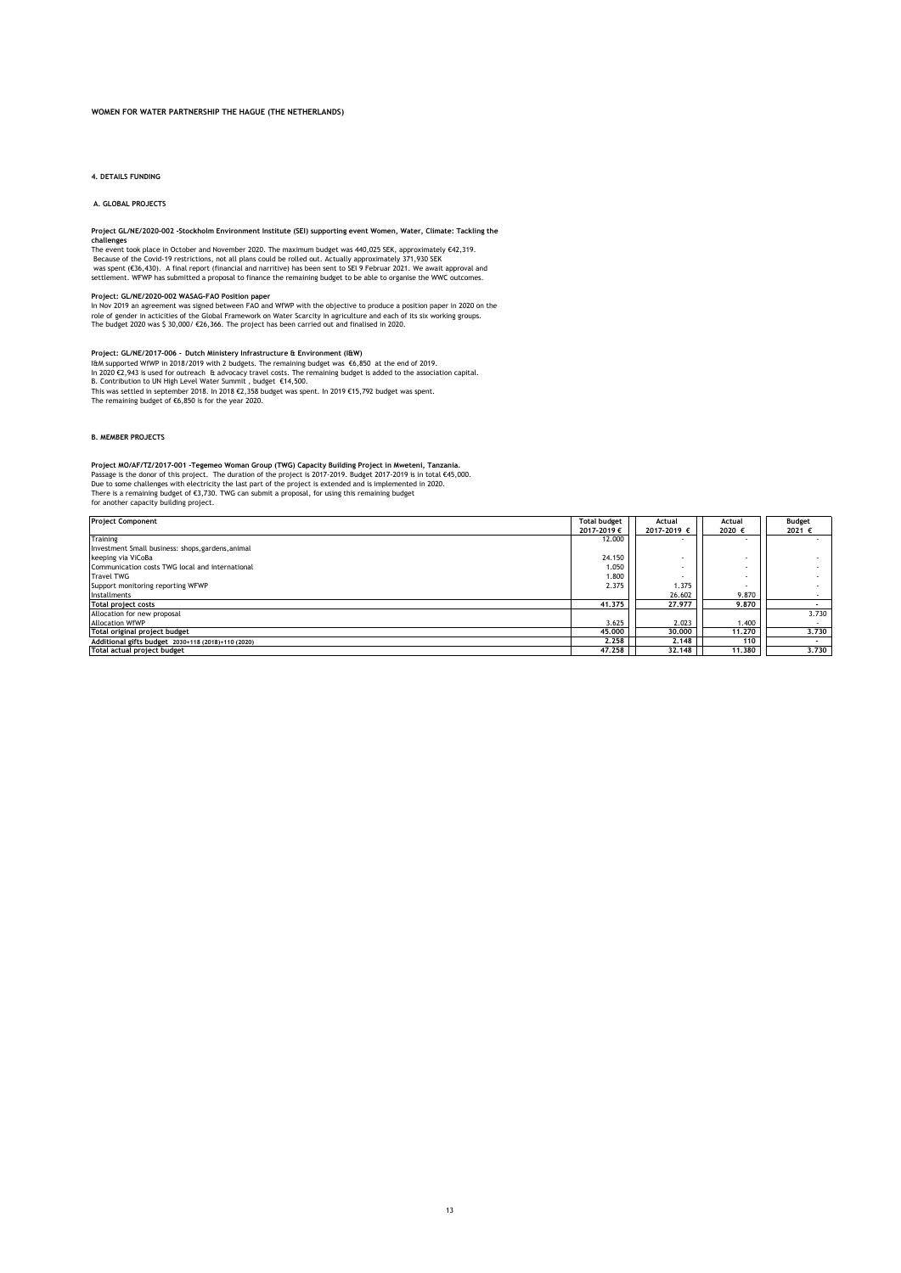**4. DETAILS FUNDING**

 **A. GLOBAL PROJECTS**

Project GL/NE/2020-002 -Stockholm Environment Institute (SEI) supporting event Women, Water, Climate: Tackling the<br>The event took place in October and November 2020. The maximum budget was 440,025 SEK, approximately €42,31 was spent (€36,430). A final report (financial and narritive) has been sent to SEI 9 Februar 2021. We await approval and<br>settlement. WFWP has submitted a proposal to finance the remaining budget to be able to organise the

P**roject: GL/NE/2020-002 WASAG-FAO Position paper**<br>In Nov 2019 an agreement was signed between FAO and WfWP with the objective to produce a position paper in 2020 on the<br>role of gender in acticities of the Global Framework

**Project: GL/NE/2017-006** *-* **Dutch Ministery Infrastructure & Environment (I&W)** 

I&M supported WfWP in 2018/2019 with 2 budgets. The remaining budget was €6,850 at the end of 2019. This was settled in september 2018. In 2018 €2,358 budget was spent. In 2019 €15,792 budget was spent. The remaining budget of €6,850 is for the year 2020. In 2020 €2,943 is used for outreach & advocacy travel costs. The remaining budget is added to the association capital.<br>B. Contribution to UN High Level Water Summit , budget €14,500.

### **B. MEMBER PROJECTS**

Project MO/AF/TZ/2017-001 - Tegemeo Woman Group (TWG) Capacity Building Project in Mweteni, Tanzania.<br>Passage is the donor of this project. The duration of the project is 2017-2019. Budget 2017-2019 is in total €45,000.<br>Du

| <b>Project Component</b>                           | <b>Total budget</b> | Actual<br>Actual |                          | Budget |
|----------------------------------------------------|---------------------|------------------|--------------------------|--------|
|                                                    | 2017-2019€          | 2017-2019 €      | 2020 €                   | 2021 € |
| Training                                           | 12,000              |                  | $\overline{\phantom{a}}$ |        |
| Investment Small business: shops, gardens, animal  |                     |                  |                          |        |
| keeping via ViCoBa                                 | 24.150              |                  |                          |        |
| Communication costs TWG local and international    | 1.050               |                  |                          |        |
| <b>Travel TWG</b>                                  | 1.800               |                  |                          |        |
| Support monitoring reporting WFWP                  | 2.375               | 1.375            |                          |        |
| Installments                                       |                     | 26.602           | 9.870                    |        |
| <b>Total project costs</b>                         | 41.375              | 27.977           | 9.870                    |        |
| Allocation for new proposal                        |                     |                  |                          | 3.730  |
| <b>Allocation WfWP</b>                             | 3.625               | 2.023            | 1.400                    |        |
| Total original project budget                      | 45,000              | 30,000           | 11.270                   | 3.730  |
| Additional gifts budget 2030+118 (2018)+110 (2020) | 2.258               | 2.148            | 110                      |        |
| Total actual project budget                        | 47.258              | 32.148           | 11.380                   | 3.730  |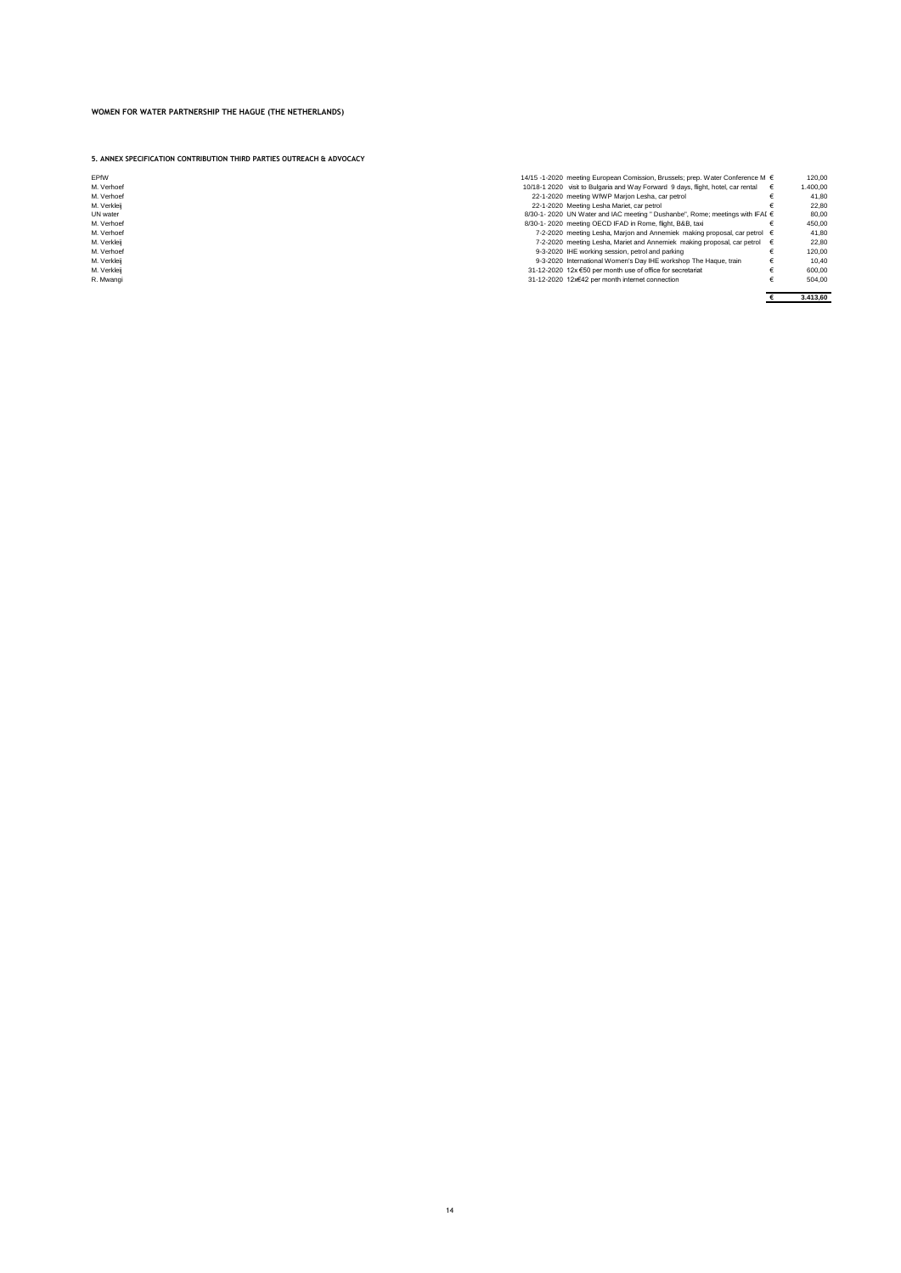**5. ANNEX SPECIFICATION CONTRIBUTION THIRD PARTIES OUTREACH & ADVOCACY**

| <b>FPfW</b>     |
|-----------------|
| M. Verhoef      |
| M. Verhoef      |
| M. Verkleii     |
| <b>UN</b> water |
| M. Verhoef      |
| M. Verhoef      |
| M. Verkleii     |

- 
- 

| EPfW        | 14/15 -1-2020 meeting European Comission. Brussels: prep. Water Conference M €     | 120.00   |
|-------------|------------------------------------------------------------------------------------|----------|
| M. Verhoef  | 10/18-1 2020 visit to Bulgaria and Way Forward 9 days, flight, hotel, car rental   | 1.400.00 |
| M. Verhoef  | 22-1-2020 meeting WfWP Marion Lesha, car petrol                                    | 41.80    |
| M. Verkleii | 22-1-2020 Meeting Lesha Mariet, car petrol                                         | 22.80    |
| UN water    | 8/30-1-2020 UN Water and IAC meeting "Dushanbe", Rome; meetings with IFAI €        | 80.00    |
| M. Verhoef  | 8/30-1-2020 meeting OECD IFAD in Rome, flight, B&B, taxi                           | 450.00   |
| M. Verhoef  | 7-2-2020 meeting Lesha, Marjon and Annemiek making proposal, car petrol €          | 41.80    |
| M. Verkleii | 7-2-2020 meeting Lesha. Mariet and Annemiek making proposal, car petrol $\epsilon$ | 22.80    |
| M. Verhoef  | 9-3-2020 IHE working session, petrol and parking                                   | 120.00   |
| M. Verkleii | 9-3-2020 International Women's Day IHE workshop The Haque, train                   | 10.40    |
| M. Verkleii | 31-12-2020 12x €50 per month use of office for secretariat                         | 600.00   |
| R. Mwangi   | 31-12-2020 12x€42 per month internet connection                                    | 504.00   |
|             |                                                                                    | 3.413,60 |
|             |                                                                                    |          |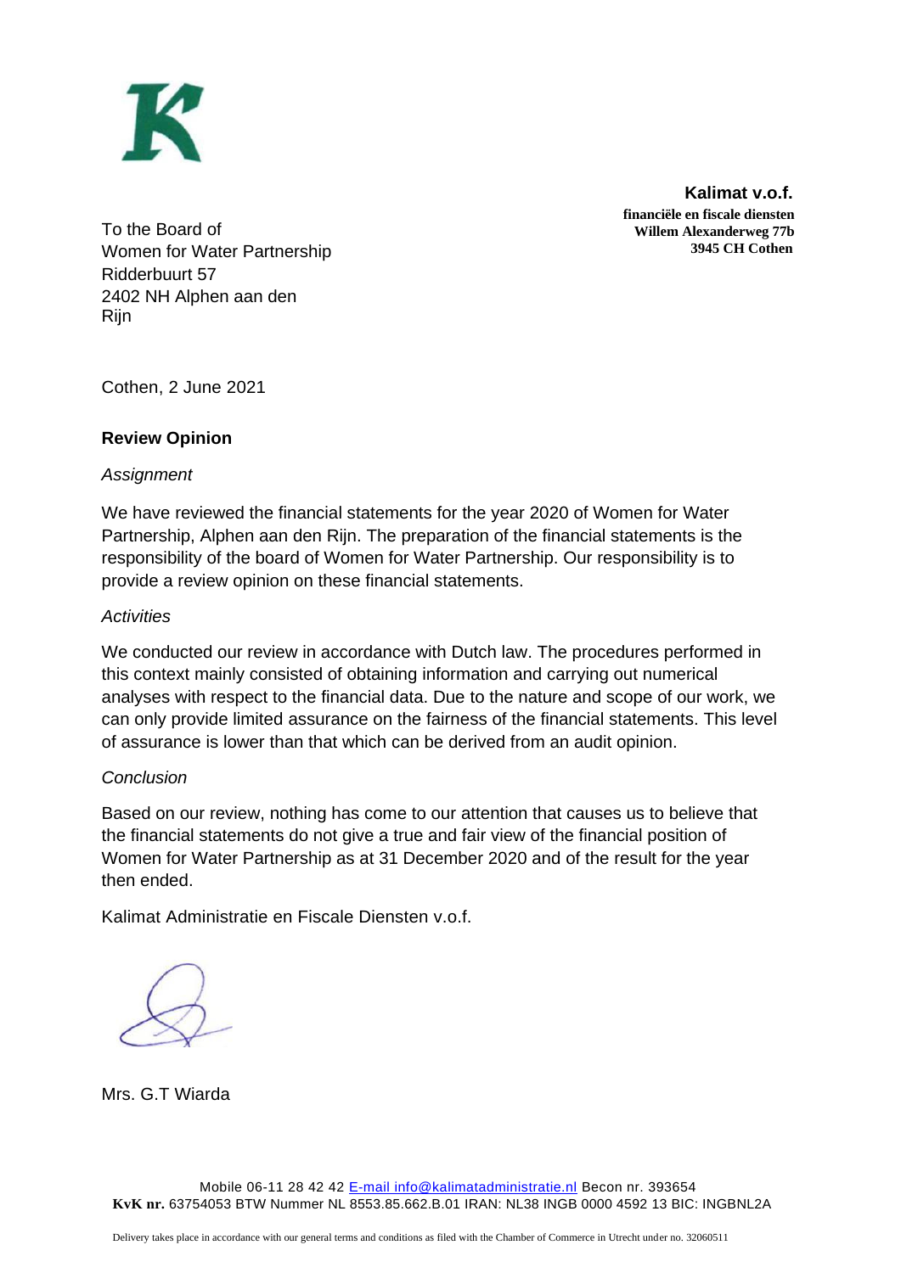

**Kalimat v.o.f. financiële en fiscale diensten Willem Alexanderweg 77b 3945 CH Cothen**

To the Board of Women for Water Partnership Ridderbuurt 57 2402 NH Alphen aan den Rijn

Cothen, 2 June 2021

# **Review Opinion**

# *Assignment*

We have reviewed the financial statements for the year 2020 of Women for Water Partnership, Alphen aan den Rijn. The preparation of the financial statements is the responsibility of the board of Women for Water Partnership. Our responsibility is to provide a review opinion on these financial statements.

# *Activities*

We conducted our review in accordance with Dutch law. The procedures performed in this context mainly consisted of obtaining information and carrying out numerical analyses with respect to the financial data. Due to the nature and scope of our work, we can only provide limited assurance on the fairness of the financial statements. This level of assurance is lower than that which can be derived from an audit opinion.

# *Conclusion*

Based on our review, nothing has come to our attention that causes us to believe that the financial statements do not give a true and fair view of the financial position of Women for Water Partnership as at 31 December 2020 and of the result for the year then ended.

Kalimat Administratie en Fiscale Diensten v.o.f.

Mrs. G.T Wiarda